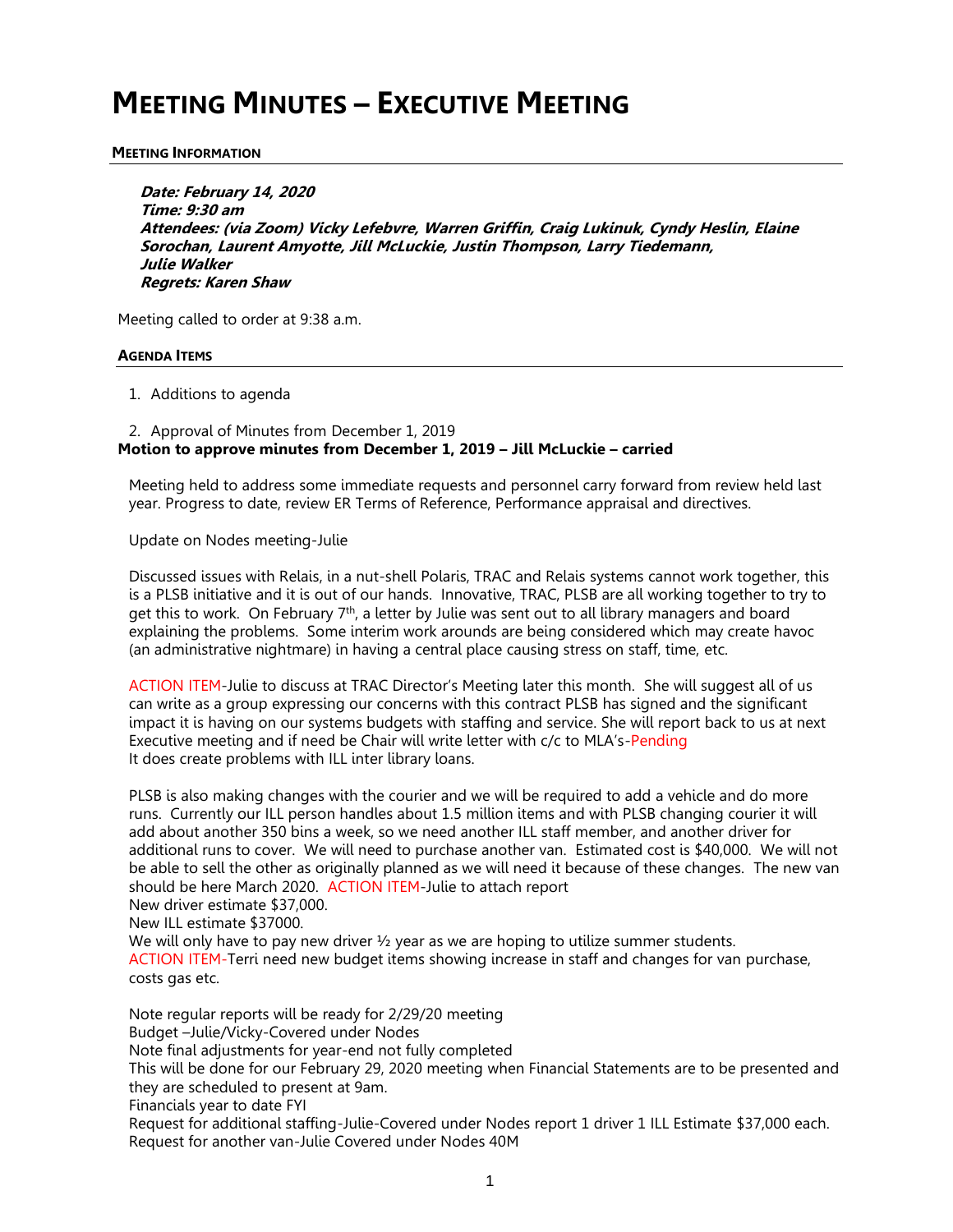# **MEETING MINUTES – EXECUTIVE MEETING**

#### **MEETING INFORMATION**

**Date: February 14, 2020 Time: 9:30 am Attendees: (via Zoom) Vicky Lefebvre, Warren Griffin, Craig Lukinuk, Cyndy Heslin, Elaine Sorochan, Laurent Amyotte, Jill McLuckie, Justin Thompson, Larry Tiedemann, Julie Walker Regrets: Karen Shaw**

Meeting called to order at 9:38 a.m.

#### **AGENDA ITEMS**

1. Additions to agenda

2. Approval of Minutes from December 1, 2019 **Motion to approve minutes from December 1, 2019 – Jill McLuckie – carried**

Meeting held to address some immediate requests and personnel carry forward from review held last year. Progress to date, review ER Terms of Reference, Performance appraisal and directives.

Update on Nodes meeting-Julie

Discussed issues with Relais, in a nut-shell Polaris, TRAC and Relais systems cannot work together, this is a PLSB initiative and it is out of our hands. Innovative, TRAC, PLSB are all working together to try to get this to work. On February 7<sup>th</sup>, a letter by Julie was sent out to all library managers and board explaining the problems. Some interim work arounds are being considered which may create havoc (an administrative nightmare) in having a central place causing stress on staff, time, etc.

ACTION ITEM-Julie to discuss at TRAC Director's Meeting later this month. She will suggest all of us can write as a group expressing our concerns with this contract PLSB has signed and the significant impact it is having on our systems budgets with staffing and service. She will report back to us at next Executive meeting and if need be Chair will write letter with c/c to MLA's-Pending It does create problems with ILL inter library loans.

PLSB is also making changes with the courier and we will be required to add a vehicle and do more runs. Currently our ILL person handles about 1.5 million items and with PLSB changing courier it will add about another 350 bins a week, so we need another ILL staff member, and another driver for additional runs to cover. We will need to purchase another van. Estimated cost is \$40,000. We will not be able to sell the other as originally planned as we will need it because of these changes. The new van should be here March 2020. ACTION ITEM-Julie to attach report

New driver estimate \$37,000.

New ILL estimate \$37000.

We will only have to pay new driver  $\frac{1}{2}$  year as we are hoping to utilize summer students. ACTION ITEM-Terri need new budget items showing increase in staff and changes for van purchase, costs gas etc.

Note regular reports will be ready for 2/29/20 meeting Budget –Julie/Vicky-Covered under Nodes Note final adjustments for year-end not fully completed This will be done for our February 29, 2020 meeting when Financial Statements are to be presented and they are scheduled to present at 9am. Financials year to date FYI Request for additional staffing-Julie-Covered under Nodes report 1 driver 1 ILL Estimate \$37,000 each. Request for another van-Julie Covered under Nodes 40M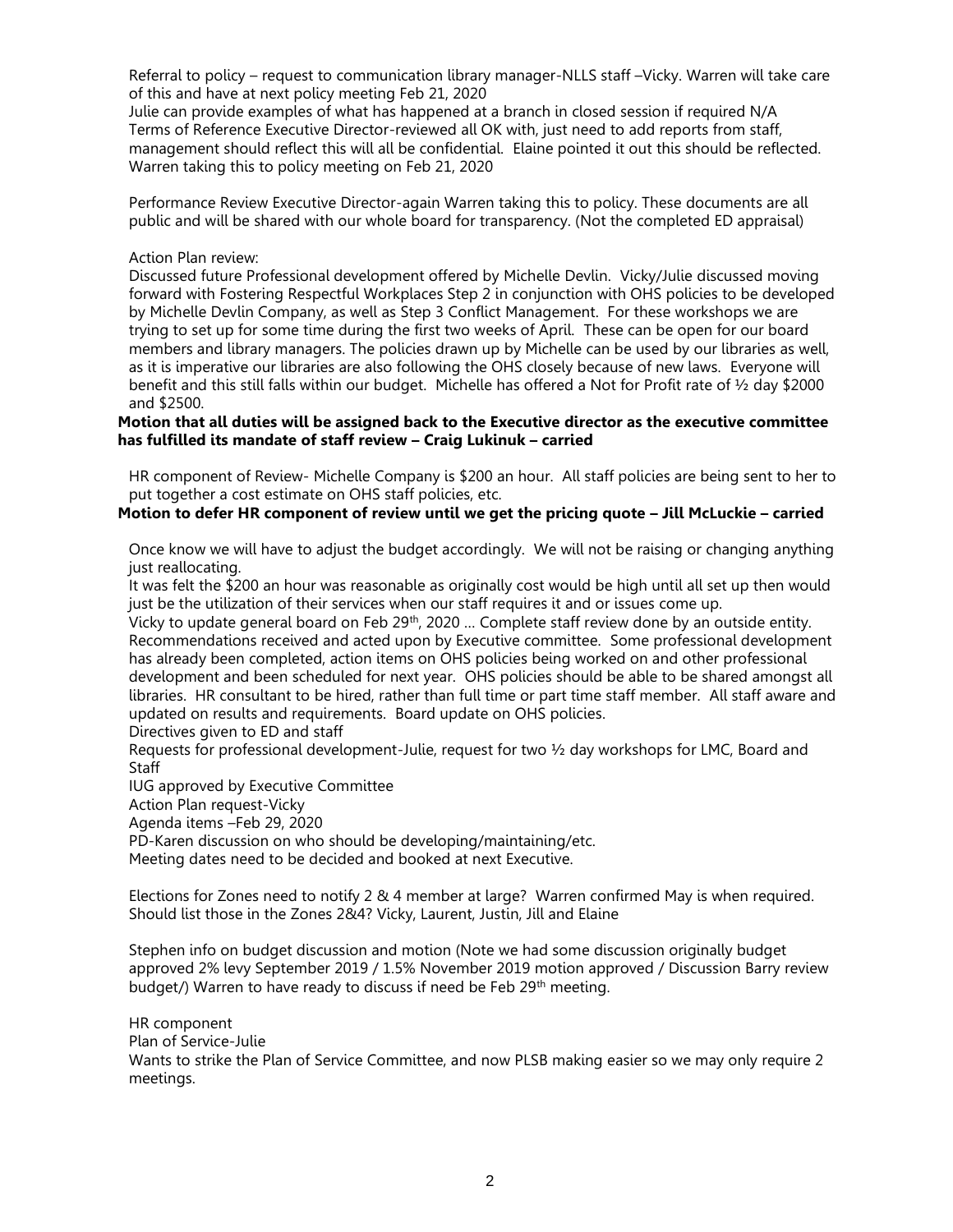Referral to policy – request to communication library manager-NLLS staff –Vicky. Warren will take care of this and have at next policy meeting Feb 21, 2020

Julie can provide examples of what has happened at a branch in closed session if required N/A Terms of Reference Executive Director-reviewed all OK with, just need to add reports from staff, management should reflect this will all be confidential. Elaine pointed it out this should be reflected. Warren taking this to policy meeting on Feb 21, 2020

Performance Review Executive Director-again Warren taking this to policy. These documents are all public and will be shared with our whole board for transparency. (Not the completed ED appraisal)

### Action Plan review:

Discussed future Professional development offered by Michelle Devlin. Vicky/Julie discussed moving forward with Fostering Respectful Workplaces Step 2 in conjunction with OHS policies to be developed by Michelle Devlin Company, as well as Step 3 Conflict Management. For these workshops we are trying to set up for some time during the first two weeks of April. These can be open for our board members and library managers. The policies drawn up by Michelle can be used by our libraries as well, as it is imperative our libraries are also following the OHS closely because of new laws. Everyone will benefit and this still falls within our budget. Michelle has offered a Not for Profit rate of ½ day \$2000 and \$2500.

## **Motion that all duties will be assigned back to the Executive director as the executive committee has fulfilled its mandate of staff review – Craig Lukinuk – carried**

HR component of Review- Michelle Company is \$200 an hour. All staff policies are being sent to her to put together a cost estimate on OHS staff policies, etc.

# **Motion to defer HR component of review until we get the pricing quote – Jill McLuckie – carried**

Once know we will have to adjust the budget accordingly. We will not be raising or changing anything just reallocating.

It was felt the \$200 an hour was reasonable as originally cost would be high until all set up then would just be the utilization of their services when our staff requires it and or issues come up.

Vicky to update general board on Feb 29<sup>th</sup>, 2020 ... Complete staff review done by an outside entity. Recommendations received and acted upon by Executive committee. Some professional development has already been completed, action items on OHS policies being worked on and other professional development and been scheduled for next year. OHS policies should be able to be shared amongst all libraries. HR consultant to be hired, rather than full time or part time staff member. All staff aware and updated on results and requirements. Board update on OHS policies.

Directives given to ED and staff

Requests for professional development-Julie, request for two ½ day workshops for LMC, Board and **Staff** 

IUG approved by Executive Committee

Action Plan request-Vicky

Agenda items –Feb 29, 2020

PD-Karen discussion on who should be developing/maintaining/etc.

Meeting dates need to be decided and booked at next Executive.

Elections for Zones need to notify 2 & 4 member at large? Warren confirmed May is when required. Should list those in the Zones 2&4? Vicky, Laurent, Justin, Jill and Elaine

Stephen info on budget discussion and motion (Note we had some discussion originally budget approved 2% levy September 2019 / 1.5% November 2019 motion approved / Discussion Barry review budget/) Warren to have ready to discuss if need be Feb 29<sup>th</sup> meeting.

HR component

Plan of Service-Julie

Wants to strike the Plan of Service Committee, and now PLSB making easier so we may only require 2 meetings.